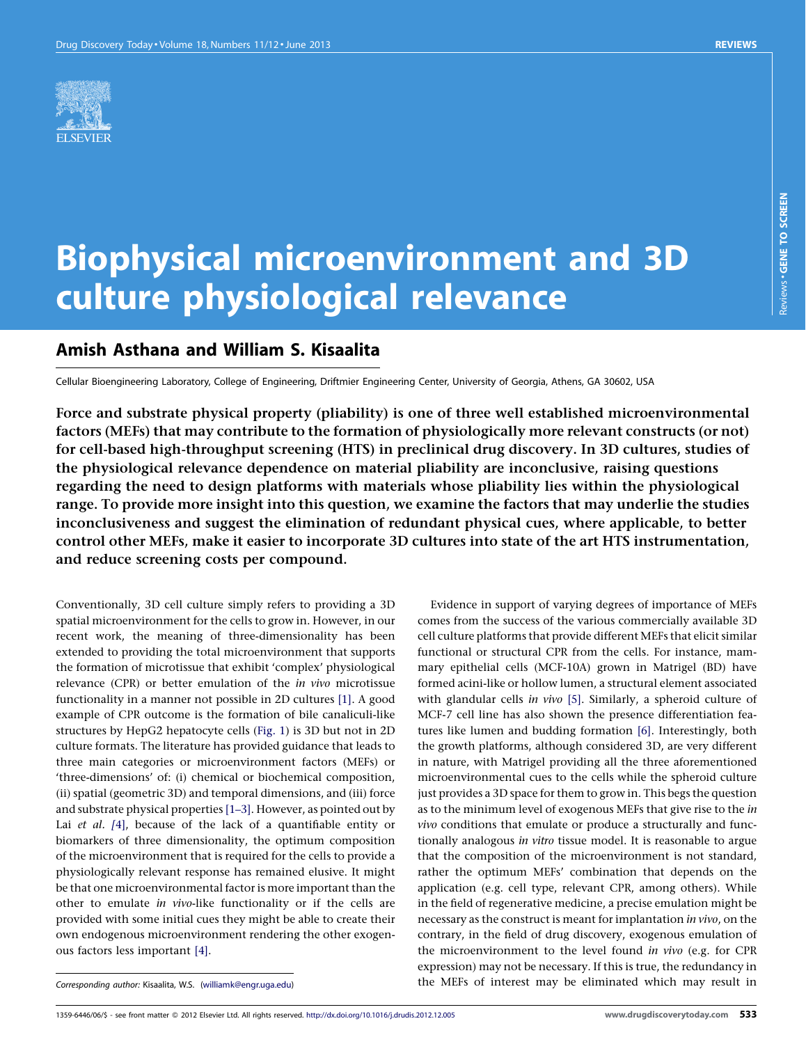

# Biophysical microenvironment and 3D culture physiological relevance

# Amish Asthana and William S. Kisaalita

Cellular Bioengineering Laboratory, College of Engineering, Driftmier Engineering Center, University of Georgia, Athens, GA 30602, USA

Force and substrate physical property (pliability) is one of three well established microenvironmental factors (MEFs) that may contribute to the formation of physiologically more relevant constructs (or not) for cell-based high-throughput screening (HTS) in preclinical drug discovery. In 3D cultures, studies of the physiological relevance dependence on material pliability are inconclusive, raising questions regarding the need to design platforms with materials whose pliability lies within the physiological range. To provide more insight into this question, we examine the factors that may underlie the studies inconclusiveness and suggest the elimination of redundant physical cues, where applicable, to better control other MEFs, make it easier to incorporate 3D cultures into state of the art HTS instrumentation, and reduce screening costs per compound.

Evidence in support of varying degrees of importance of MEFs comes from the success of the various commercially available 3D cell culture platforms that provide different MEFs that elicit similar functional or structural CPR from the cells. For instance, mammary epithelial cells (MCF-10A) grown in Matrigel (BD) have formed acini-like or hollow lumen, a structural element associated with glandular cells in vivo [\[5\].](#page-5-0) Similarly, a spheroid culture of MCF-7 cell line has also shown the presence differentiation features like lumen and budding formation [\[6\]](#page-5-0). Interestingly, both the growth platforms, although considered 3D, are very different in nature, with Matrigel providing all the three aforementioned microenvironmental cues to the cells while the spheroid culture just provides a 3D space for them to grow in. This begs the question as to the minimum level of exogenous MEFs that give rise to the in vivo conditions that emulate or produce a structurally and functionally analogous in vitro tissue model. It is reasonable to argue that the composition of the microenvironment is not standard, rather the optimum MEFs' combination that depends on the application (e.g. cell type, relevant CPR, among others). While in the field of regenerative medicine, a precise emulation might be necessary as the construct is meant for implantation in vivo, on the contrary, in the field of drug discovery, exogenous emulation of the microenvironment to the level found in vivo (e.g. for CPR expression) may not be necessary. If this is true, the redundancy in the MEFs of interest may be eliminated which may result in

Conventionally, 3D cell culture simply refers to providing a 3D spatial microenvironment for the cells to grow in. However, in our recent work, the meaning of three-dimensionality has been extended to providing the total microenvironment that supports the formation of microtissue that exhibit 'complex' physiological relevance (CPR) or better emulation of the in vivo microtissue functionality in a manner not possible in 2D cultures [\[1\]](#page-5-0). A good example of CPR outcome is the formation of bile canaliculi-like structures by HepG2 hepatocyte cells ([Fig.](#page-1-0) 1) is 3D but not in 2D culture formats. The literature has provided guidance that leads to three main categories or microenvironment factors (MEFs) or 'three-dimensions' of: (i) chemical or biochemical composition, (ii) spatial (geometric 3D) and temporal dimensions, and (iii) force and substrate physical properties [\[1–3\].](#page-5-0) However, as pointed out by Lai et al. [[4\]](#page-5-0), because of the lack of a quantifiable entity or biomarkers of three dimensionality, the optimum composition of the microenvironment that is required for the cells to provide a physiologically relevant response has remained elusive. It might be that one microenvironmental factor is more important than the other to emulate in vivo-like functionality or if the cells are provided with some initial cues they might be able to create their own endogenous microenvironment rendering the other exogenous factors less important [\[4\]](#page-5-0).

Corresponding author: Kisaalita, W.S. [\(williamk@engr.uga.edu](mailto:williamk@engr.uga.edu))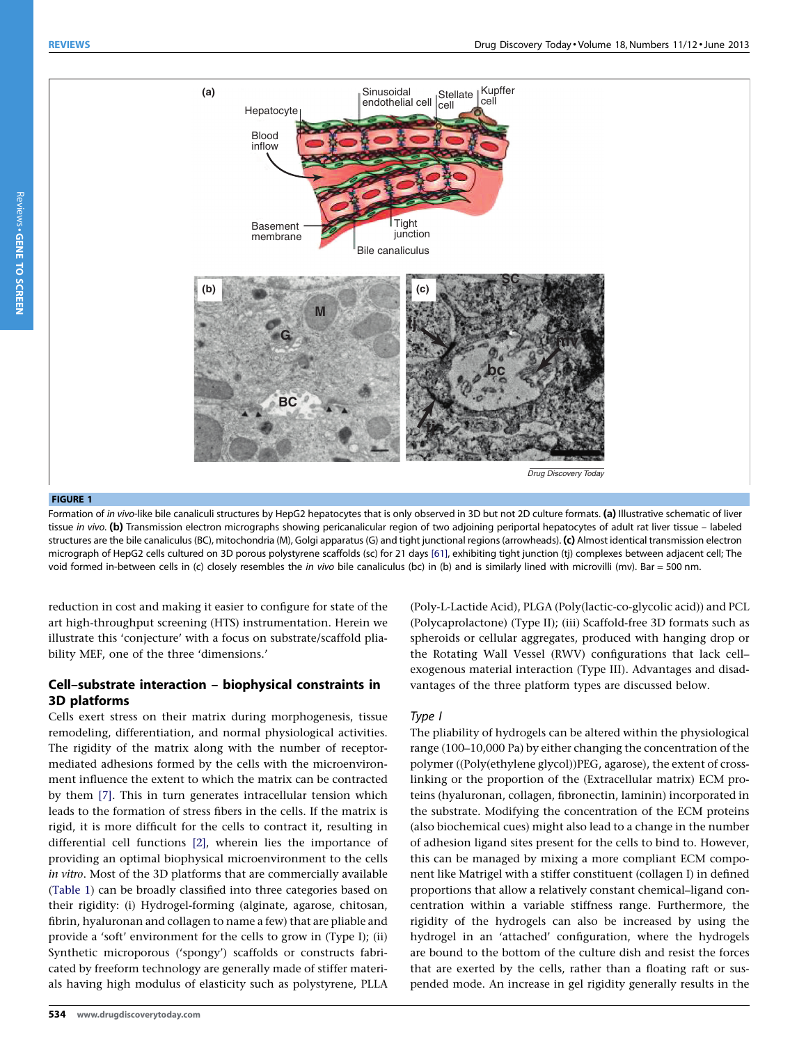

<span id="page-1-0"></span>

#### FIGURE 1

Formation of in vivo-like bile canaliculi structures by HepG2 hepatocytes that is only observed in 3D but not 2D culture formats. (a) Illustrative schematic of liver tissue in vivo. (b) Transmission electron micrographs showing pericanalicular region of two adjoining periportal hepatocytes of adult rat liver tissue – labeled structures are the bile canaliculus (BC), mitochondria (M), Golgi apparatus (G) and tight junctional regions (arrowheads). (c) Almost identical transmission electron micrograph of HepG2 cells cultured on 3D porous polystyrene scaffolds (sc) for 21 days [\[61\]](#page-6-0), exhibiting tight junction (tj) complexes between adjacent cell; The void formed in-between cells in (c) closely resembles the in vivo bile canaliculus (bc) in (b) and is similarly lined with microvilli (mv). Bar = 500 nm.

reduction in cost and making it easier to configure for state of the art high-throughput screening (HTS) instrumentation. Herein we illustrate this 'conjecture' with a focus on substrate/scaffold pliability MEF, one of the three 'dimensions.'

# Cell–substrate interaction – biophysical constraints in 3D platforms

Cells exert stress on their matrix during morphogenesis, tissue remodeling, differentiation, and normal physiological activities. The rigidity of the matrix along with the number of receptormediated adhesions formed by the cells with the microenvironment influence the extent to which the matrix can be contracted by them [\[7\]](#page-5-0). This in turn generates intracellular tension which leads to the formation of stress fibers in the cells. If the matrix is rigid, it is more difficult for the cells to contract it, resulting in differential cell functions [\[2\],](#page-5-0) wherein lies the importance of providing an optimal biophysical microenvironment to the cells in vitro. Most of the 3D platforms that are commercially available ([Table](#page-2-0) 1) can be broadly classified into three categories based on their rigidity: (i) Hydrogel-forming (alginate, agarose, chitosan, fibrin, hyaluronan and collagen to name a few) that are pliable and provide a 'soft' environment for the cells to grow in (Type I); (ii) Synthetic microporous ('spongy') scaffolds or constructs fabricated by freeform technology are generally made of stiffer materials having high modulus of elasticity such as polystyrene, PLLA

534 www.drugdiscoverytoday.com

(Poly-L-Lactide Acid), PLGA (Poly(lactic-co-glycolic acid)) and PCL (Polycaprolactone) (Type II); (iii) Scaffold-free 3D formats such as spheroids or cellular aggregates, produced with hanging drop or the Rotating Wall Vessel (RWV) configurations that lack cell– exogenous material interaction (Type III). Advantages and disadvantages of the three platform types are discussed below.

#### Type I

The pliability of hydrogels can be altered within the physiological range (100–10,000 Pa) by either changing the concentration of the polymer ((Poly(ethylene glycol))PEG, agarose), the extent of crosslinking or the proportion of the (Extracellular matrix) ECM proteins (hyaluronan, collagen, fibronectin, laminin) incorporated in the substrate. Modifying the concentration of the ECM proteins (also biochemical cues) might also lead to a change in the number of adhesion ligand sites present for the cells to bind to. However, this can be managed by mixing a more compliant ECM component like Matrigel with a stiffer constituent (collagen I) in defined proportions that allow a relatively constant chemical–ligand concentration within a variable stiffness range. Furthermore, the rigidity of the hydrogels can also be increased by using the hydrogel in an 'attached' configuration, where the hydrogels are bound to the bottom of the culture dish and resist the forces that are exerted by the cells, rather than a floating raft or suspended mode. An increase in gel rigidity generally results in the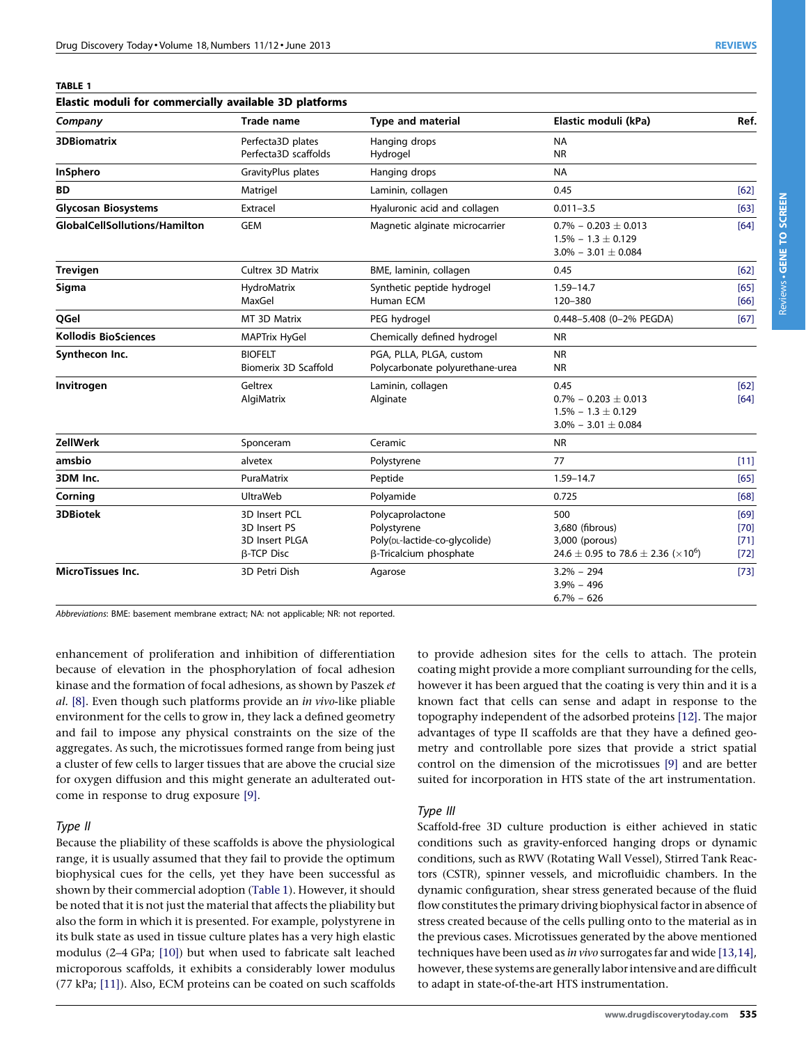<span id="page-2-0"></span>TABLE 1

| Elastic moduli for commercially available 3D platforms |                                                                      |                                                                                            |                                                                                                             |                                  |  |  |
|--------------------------------------------------------|----------------------------------------------------------------------|--------------------------------------------------------------------------------------------|-------------------------------------------------------------------------------------------------------------|----------------------------------|--|--|
| Company                                                | <b>Trade name</b>                                                    | <b>Type and material</b>                                                                   | Elastic moduli (kPa)                                                                                        | Ref.                             |  |  |
| <b>3DBiomatrix</b>                                     | Perfecta3D plates<br>Perfecta3D scaffolds                            | Hanging drops<br>Hydrogel                                                                  | <b>NA</b><br><b>NR</b>                                                                                      |                                  |  |  |
| <b>InSphero</b>                                        | GravityPlus plates                                                   | Hanging drops                                                                              | <b>NA</b>                                                                                                   |                                  |  |  |
| <b>BD</b>                                              | Matrigel                                                             | Laminin, collagen                                                                          | 0.45                                                                                                        | [62]                             |  |  |
| <b>Glycosan Biosystems</b>                             | Extracel                                                             | Hyaluronic acid and collagen                                                               | $0.011 - 3.5$                                                                                               | [63]                             |  |  |
| <b>GlobalCellSollutions/Hamilton</b>                   | <b>GEM</b>                                                           | Magnetic alginate microcarrier                                                             | $0.7\% - 0.203 \pm 0.013$<br>$1.5\% - 1.3 \pm 0.129$<br>$3.0\% - 3.01 \pm 0.084$                            | [64]                             |  |  |
| <b>Trevigen</b>                                        | <b>Cultrex 3D Matrix</b>                                             | BME, laminin, collagen                                                                     | 0.45                                                                                                        | $[62]$                           |  |  |
| Sigma                                                  | HydroMatrix<br>MaxGel                                                | Synthetic peptide hydrogel<br>Human ECM                                                    | $1.59 - 14.7$<br>120-380                                                                                    | [65]<br>[66]                     |  |  |
| QGel                                                   | MT 3D Matrix                                                         | PEG hydrogel                                                                               | 0.448-5.408 (0-2% PEGDA)                                                                                    | [67]                             |  |  |
| <b>Kollodis BioSciences</b>                            | <b>MAPTrix HyGel</b>                                                 | Chemically defined hydrogel                                                                | <b>NR</b>                                                                                                   |                                  |  |  |
| Synthecon Inc.                                         | <b>BIOFELT</b><br>Biomerix 3D Scaffold                               | PGA, PLLA, PLGA, custom<br>Polycarbonate polyurethane-urea                                 | <b>NR</b><br><b>NR</b>                                                                                      |                                  |  |  |
| Invitrogen                                             | Geltrex<br>AlgiMatrix                                                | Laminin, collagen<br>Alginate                                                              | 0.45<br>$0.7\% - 0.203 \pm 0.013$<br>$1.5\% - 1.3 \pm 0.129$<br>$3.0\% - 3.01 \pm 0.084$                    | [62]<br>[64]                     |  |  |
| <b>ZellWerk</b>                                        | Sponceram                                                            | Ceramic                                                                                    | <b>NR</b>                                                                                                   |                                  |  |  |
| amsbio                                                 | alvetex                                                              | Polystyrene                                                                                | 77                                                                                                          | $[11]$                           |  |  |
| 3DM Inc.                                               | PuraMatrix                                                           | Peptide                                                                                    | 1.59-14.7                                                                                                   | $[65]$                           |  |  |
| Corning                                                | <b>UltraWeb</b>                                                      | Polyamide                                                                                  | 0.725                                                                                                       | [68]                             |  |  |
| <b>3DBiotek</b>                                        | 3D Insert PCL<br>3D Insert PS<br>3D Insert PLGA<br><b>B-TCP Disc</b> | Polycaprolactone<br>Polystyrene<br>Poly(DL-lactide-co-glycolide)<br>β-Tricalcium phosphate | 500<br>3,680 (fibrous)<br>3,000 (porous)<br>24.6 $\pm$ 0.95 to 78.6 $\pm$ 2.36 ( $\times$ 10 <sup>6</sup> ) | [69]<br>$[70]$<br>[71]<br>$[72]$ |  |  |
| <b>MicroTissues Inc.</b>                               | 3D Petri Dish                                                        | Agarose                                                                                    | $3.2\% - 294$<br>$3.9\% - 496$<br>$6.7\% - 626$                                                             | $[73]$                           |  |  |

Abbreviations: BME: basement membrane extract; NA: not applicable; NR: not reported.

enhancement of proliferation and inhibition of differentiation because of elevation in the phosphorylation of focal adhesion kinase and the formation of focal adhesions, as shown by Paszek et al. [\[8\]](#page-5-0). Even though such platforms provide an in vivo-like pliable environment for the cells to grow in, they lack a defined geometry and fail to impose any physical constraints on the size of the aggregates. As such, the microtissues formed range from being just a cluster of few cells to larger tissues that are above the crucial size for oxygen diffusion and this might generate an adulterated outcome in response to drug exposure [\[9\].](#page-6-0)

#### Type II

Because the pliability of these scaffolds is above the physiological range, it is usually assumed that they fail to provide the optimum biophysical cues for the cells, yet they have been successful as shown by their commercial adoption (Table 1). However, it should be noted that it is not just the material that affects the pliability but also the form in which it is presented. For example, polystyrene in its bulk state as used in tissue culture plates has a very high elastic modulus (2–4 GPa; [\[10\]](#page-6-0)) but when used to fabricate salt leached microporous scaffolds, it exhibits a considerably lower modulus (77 kPa; [\[11\]](#page-6-0)). Also, ECM proteins can be coated on such scaffolds

to provide adhesion sites for the cells to attach. The protein coating might provide a more compliant surrounding for the cells, however it has been argued that the coating is very thin and it is a known fact that cells can sense and adapt in response to the topography independent of the adsorbed proteins [\[12\].](#page-6-0) The major advantages of type II scaffolds are that they have a defined geometry and controllable pore sizes that provide a strict spatial control on the dimension of the microtissues [\[9\]](#page-6-0) and are better suited for incorporation in HTS state of the art instrumentation.

#### Type III

Scaffold-free 3D culture production is either achieved in static conditions such as gravity-enforced hanging drops or dynamic conditions, such as RWV (Rotating Wall Vessel), Stirred Tank Reactors (CSTR), spinner vessels, and microfluidic chambers. In the dynamic configuration, shear stress generated because of the fluid flow constitutes the primary driving biophysical factor in absence of stress created because of the cells pulling onto to the material as in the previous cases. Microtissues generated by the above mentioned techniques have been used as in vivo surrogates far and wide [\[13,14\],](#page-6-0) however, these systems are generally labor intensive and are difficult to adapt in state-of-the-art HTS instrumentation.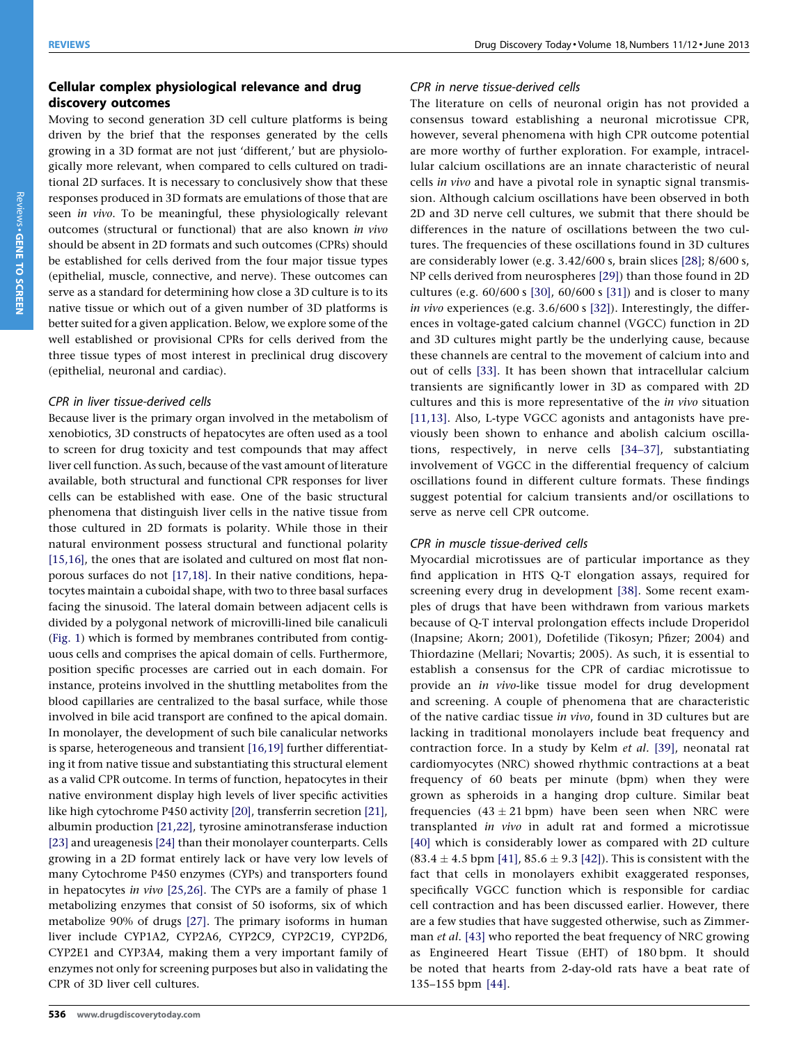# Cellular complex physiological relevance and drug discovery outcomes

Moving to second generation 3D cell culture platforms is being driven by the brief that the responses generated by the cells growing in a 3D format are not just 'different,' but are physiologically more relevant, when compared to cells cultured on traditional 2D surfaces. It is necessary to conclusively show that these responses produced in 3D formats are emulations of those that are seen in vivo. To be meaningful, these physiologically relevant outcomes (structural or functional) that are also known in vivo should be absent in 2D formats and such outcomes (CPRs) should be established for cells derived from the four major tissue types (epithelial, muscle, connective, and nerve). These outcomes can serve as a standard for determining how close a 3D culture is to its native tissue or which out of a given number of 3D platforms is better suited for a given application. Below, we explore some of the well established or provisional CPRs for cells derived from the three tissue types of most interest in preclinical drug discovery (epithelial, neuronal and cardiac).

#### CPR in liver tissue-derived cells

Because liver is the primary organ involved in the metabolism of xenobiotics, 3D constructs of hepatocytes are often used as a tool to screen for drug toxicity and test compounds that may affect liver cell function. As such, because of the vast amount of literature available, both structural and functional CPR responses for liver cells can be established with ease. One of the basic structural phenomena that distinguish liver cells in the native tissue from those cultured in 2D formats is polarity. While those in their natural environment possess structural and functional polarity [\[15,16\]](#page-6-0), the ones that are isolated and cultured on most flat nonporous surfaces do not [\[17,18\]](#page-6-0). In their native conditions, hepatocytes maintain a cuboidal shape, with two to three basal surfaces facing the sinusoid. The lateral domain between adjacent cells is divided by a polygonal network of microvilli-lined bile canaliculi ([Fig.](#page-1-0) 1) which is formed by membranes contributed from contiguous cells and comprises the apical domain of cells. Furthermore, position specific processes are carried out in each domain. For instance, proteins involved in the shuttling metabolites from the blood capillaries are centralized to the basal surface, while those involved in bile acid transport are confined to the apical domain. In monolayer, the development of such bile canalicular networks is sparse, heterogeneous and transient [\[16,19\]](#page-6-0) further differentiating it from native tissue and substantiating this structural element as a valid CPR outcome. In terms of function, hepatocytes in their native environment display high levels of liver specific activities like high cytochrome P450 activity [\[20\]](#page-6-0), transferrin secretion [\[21\]](#page-6-0), albumin production [\[21,22\],](#page-6-0) tyrosine aminotransferase induction [\[23\]](#page-6-0) and ureagenesis [\[24\]](#page-6-0) than their monolayer counterparts. Cells growing in a 2D format entirely lack or have very low levels of many Cytochrome P450 enzymes (CYPs) and transporters found in hepatocytes in vivo [\[25,26\].](#page-6-0) The CYPs are a family of phase 1 metabolizing enzymes that consist of 50 isoforms, six of which metabolize 90% of drugs [\[27\]](#page-6-0). The primary isoforms in human liver include CYP1A2, CYP2A6, CYP2C9, CYP2C19, CYP2D6, CYP2E1 and CYP3A4, making them a very important family of enzymes not only for screening purposes but also in validating the CPR of 3D liver cell cultures.

#### CPR in nerve tissue-derived cells

The literature on cells of neuronal origin has not provided a consensus toward establishing a neuronal microtissue CPR, however, several phenomena with high CPR outcome potential are more worthy of further exploration. For example, intracellular calcium oscillations are an innate characteristic of neural cells in vivo and have a pivotal role in synaptic signal transmission. Although calcium oscillations have been observed in both 2D and 3D nerve cell cultures, we submit that there should be differences in the nature of oscillations between the two cultures. The frequencies of these oscillations found in 3D cultures are considerably lower (e.g. 3.42/600 s, brain slices [\[28\]](#page-6-0); 8/600 s, NP cells derived from neurospheres [\[29\]\)](#page-6-0) than those found in 2D cultures (e.g. 60/600 s [\[30\]](#page-6-0), 60/600 s [\[31\]\)](#page-6-0) and is closer to many in vivo experiences (e.g. 3.6/600 s [\[32\]](#page-6-0)). Interestingly, the differences in voltage-gated calcium channel (VGCC) function in 2D and 3D cultures might partly be the underlying cause, because these channels are central to the movement of calcium into and out of cells [\[33\].](#page-6-0) It has been shown that intracellular calcium transients are significantly lower in 3D as compared with 2D cultures and this is more representative of the in vivo situation [\[11,13\]](#page-6-0). Also, L-type VGCC agonists and antagonists have previously been shown to enhance and abolish calcium oscillations, respectively, in nerve cells [\[34–37\],](#page-6-0) substantiating involvement of VGCC in the differential frequency of calcium oscillations found in different culture formats. These findings suggest potential for calcium transients and/or oscillations to serve as nerve cell CPR outcome.

#### CPR in muscle tissue-derived cells

Myocardial microtissues are of particular importance as they find application in HTS Q-T elongation assays, required for screening every drug in development [\[38\]](#page-6-0). Some recent examples of drugs that have been withdrawn from various markets because of Q-T interval prolongation effects include Droperidol (Inapsine; Akorn; 2001), Dofetilide (Tikosyn; Pfizer; 2004) and Thiordazine (Mellari; Novartis; 2005). As such, it is essential to establish a consensus for the CPR of cardiac microtissue to provide an in vivo-like tissue model for drug development and screening. A couple of phenomena that are characteristic of the native cardiac tissue in vivo, found in 3D cultures but are lacking in traditional monolayers include beat frequency and contraction force. In a study by Kelm et al. [\[39\]](#page-6-0), neonatal rat cardiomyocytes (NRC) showed rhythmic contractions at a beat frequency of 60 beats per minute (bpm) when they were grown as spheroids in a hanging drop culture. Similar beat frequencies  $(43 \pm 21$  bpm) have been seen when NRC were transplanted in vivo in adult rat and formed a microtissue [\[40\]](#page-6-0) which is considerably lower as compared with 2D culture  $(83.4 \pm 4.5 \text{ bpm} [41], 85.6 \pm 9.3 [42])$  $(83.4 \pm 4.5 \text{ bpm} [41], 85.6 \pm 9.3 [42])$  $(83.4 \pm 4.5 \text{ bpm} [41], 85.6 \pm 9.3 [42])$  $(83.4 \pm 4.5 \text{ bpm} [41], 85.6 \pm 9.3 [42])$  $(83.4 \pm 4.5 \text{ bpm} [41], 85.6 \pm 9.3 [42])$ . This is consistent with the fact that cells in monolayers exhibit exaggerated responses, specifically VGCC function which is responsible for cardiac cell contraction and has been discussed earlier. However, there are a few studies that have suggested otherwise, such as Zimmer-man et al. [\[43\]](#page-6-0) who reported the beat frequency of NRC growing as Engineered Heart Tissue (EHT) of 180 bpm. It should be noted that hearts from 2-day-old rats have a beat rate of 135–155 bpm [\[44\]](#page-6-0).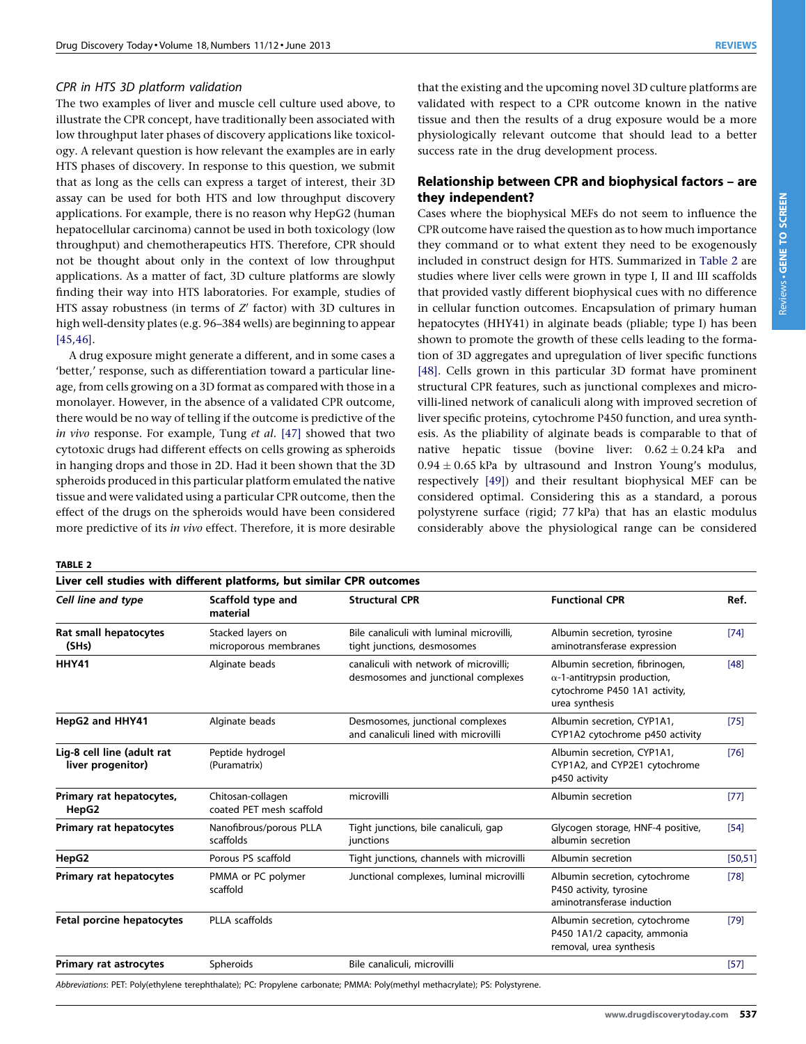#### CPR in HTS 3D platform validation

The two examples of liver and muscle cell culture used above, to illustrate the CPR concept, have traditionally been associated with low throughput later phases of discovery applications like toxicology. A relevant question is how relevant the examples are in early HTS phases of discovery. In response to this question, we submit that as long as the cells can express a target of interest, their 3D assay can be used for both HTS and low throughput discovery applications. For example, there is no reason why HepG2 (human hepatocellular carcinoma) cannot be used in both toxicology (low throughput) and chemotherapeutics HTS. Therefore, CPR should not be thought about only in the context of low throughput applications. As a matter of fact, 3D culture platforms are slowly finding their way into HTS laboratories. For example, studies of HTS assay robustness (in terms of  $Z'$  factor) with 3D cultures in high well-density plates (e.g. 96–384 wells) are beginning to appear [\[45,46\]](#page-6-0).

A drug exposure might generate a different, and in some cases a 'better,' response, such as differentiation toward a particular lineage, from cells growing on a 3D format as compared with those in a monolayer. However, in the absence of a validated CPR outcome, there would be no way of telling if the outcome is predictive of the in vivo response. For example, Tung et al. [\[47\]](#page-6-0) showed that two cytotoxic drugs had different effects on cells growing as spheroids in hanging drops and those in 2D. Had it been shown that the 3D spheroids produced in this particular platform emulated the native tissue and were validated using a particular CPR outcome, then the effect of the drugs on the spheroids would have been considered more predictive of its in vivo effect. Therefore, it is more desirable

that the existing and the upcoming novel 3D culture platforms are validated with respect to a CPR outcome known in the native tissue and then the results of a drug exposure would be a more physiologically relevant outcome that should lead to a better success rate in the drug development process.

### Relationship between CPR and biophysical factors – are they independent?

Cases where the biophysical MEFs do not seem to influence the CPR outcome have raised the question as to how much importance they command or to what extent they need to be exogenously included in construct design for HTS. Summarized in Table 2 are studies where liver cells were grown in type I, II and III scaffolds that provided vastly different biophysical cues with no difference in cellular function outcomes. Encapsulation of primary human hepatocytes (HHY41) in alginate beads (pliable; type I) has been shown to promote the growth of these cells leading to the formation of 3D aggregates and upregulation of liver specific functions [\[48\].](#page-6-0) Cells grown in this particular 3D format have prominent structural CPR features, such as junctional complexes and microvilli-lined network of canaliculi along with improved secretion of liver specific proteins, cytochrome P450 function, and urea synthesis. As the pliability of alginate beads is comparable to that of native hepatic tissue (bovine liver:  $0.62 \pm 0.24$  kPa and  $0.94 \pm 0.65$  kPa by ultrasound and Instron Young's modulus, respectively [\[49\]](#page-6-0)) and their resultant biophysical MEF can be considered optimal. Considering this as a standard, a porous polystyrene surface (rigid; 77 kPa) that has an elastic modulus considerably above the physiological range can be considered

TABLE 2

| Liver cell studies with different platforms, but similar CPR outcomes |                                               |                                                                               |                                                                                                                          |          |  |  |  |
|-----------------------------------------------------------------------|-----------------------------------------------|-------------------------------------------------------------------------------|--------------------------------------------------------------------------------------------------------------------------|----------|--|--|--|
| Cell line and type                                                    | Scaffold type and<br>material                 | <b>Structural CPR</b>                                                         | <b>Functional CPR</b>                                                                                                    | Ref.     |  |  |  |
| Rat small hepatocytes<br>(SHs)                                        | Stacked layers on<br>microporous membranes    | Bile canaliculi with luminal microvilli.<br>tight junctions, desmosomes       | Albumin secretion, tyrosine<br>aminotransferase expression                                                               | [74]     |  |  |  |
| HHY41                                                                 | Alginate beads                                | canaliculi with network of microvilli;<br>desmosomes and junctional complexes | Albumin secretion, fibrinogen,<br>$\alpha$ -1-antitrypsin production,<br>cytochrome P450 1A1 activity,<br>urea synthesis | [48]     |  |  |  |
| HepG2 and HHY41                                                       | Alginate beads                                | Desmosomes, junctional complexes<br>and canaliculi lined with microvilli      | Albumin secretion, CYP1A1,<br>CYP1A2 cytochrome p450 activity                                                            | $[75]$   |  |  |  |
| Lig-8 cell line (adult rat<br>liver progenitor)                       | Peptide hydrogel<br>(Puramatrix)              |                                                                               | Albumin secretion, CYP1A1,<br>CYP1A2, and CYP2E1 cytochrome<br>p450 activity                                             | [76]     |  |  |  |
| Primary rat hepatocytes,<br>HepG2                                     | Chitosan-collagen<br>coated PET mesh scaffold | microvilli                                                                    | Albumin secretion                                                                                                        | $[77]$   |  |  |  |
| <b>Primary rat hepatocytes</b>                                        | Nanofibrous/porous PLLA<br>scaffolds          | Tight junctions, bile canaliculi, gap<br>junctions                            | Glycogen storage, HNF-4 positive,<br>albumin secretion                                                                   | [54]     |  |  |  |
| HepG2                                                                 | Porous PS scaffold                            | Tight junctions, channels with microvilli                                     | Albumin secretion                                                                                                        | [50, 51] |  |  |  |
| <b>Primary rat hepatocytes</b>                                        | PMMA or PC polymer<br>scaffold                | Junctional complexes, luminal microvilli                                      | Albumin secretion, cytochrome<br>P450 activity, tyrosine<br>aminotransferase induction                                   | $[78]$   |  |  |  |
| Fetal porcine hepatocytes                                             | PLLA scaffolds                                |                                                                               | Albumin secretion, cytochrome<br>P450 1A1/2 capacity, ammonia<br>removal, urea synthesis                                 | $[79]$   |  |  |  |
| <b>Primary rat astrocytes</b>                                         | Spheroids                                     | Bile canaliculi, microvilli                                                   |                                                                                                                          | [57]     |  |  |  |

Abbreviations: PET: Poly(ethylene terephthalate); PC: Propylene carbonate; PMMA: Poly(methyl methacrylate); PS: Polystyrene.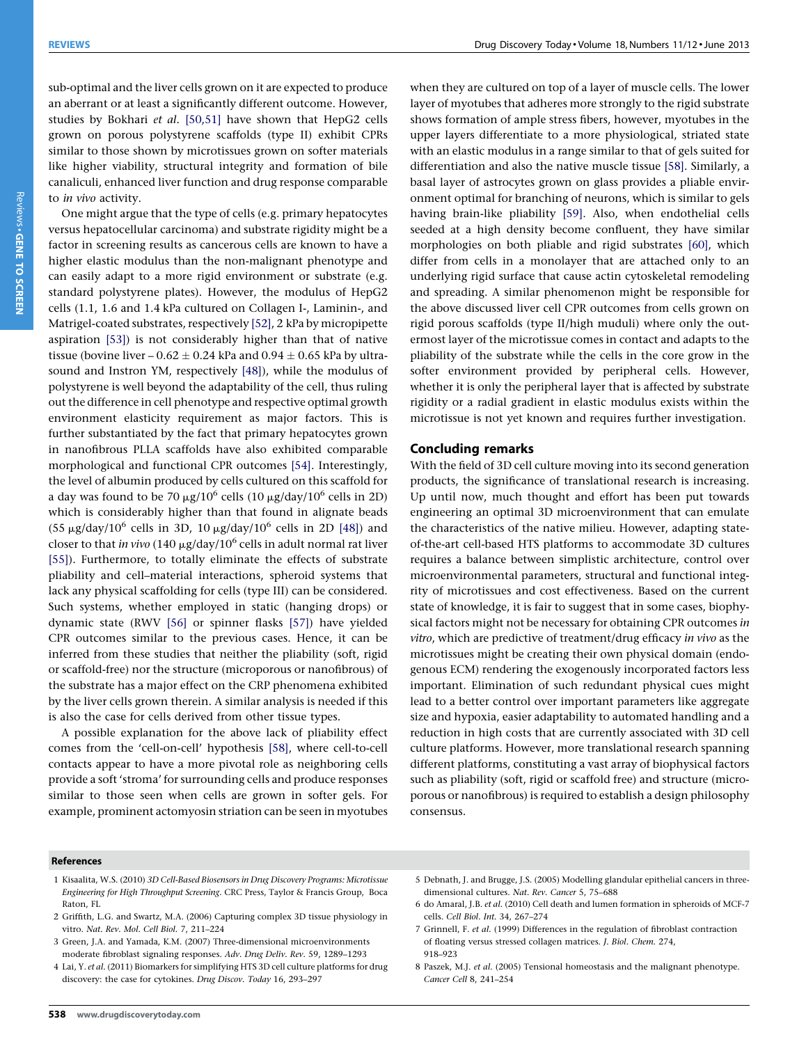<span id="page-5-0"></span>sub-optimal and the liver cells grown on it are expected to produce an aberrant or at least a significantly different outcome. However, studies by Bokhari et al. [\[50,51\]](#page-6-0) have shown that HepG2 cells grown on porous polystyrene scaffolds (type II) exhibit CPRs similar to those shown by microtissues grown on softer materials like higher viability, structural integrity and formation of bile canaliculi, enhanced liver function and drug response comparable to in vivo activity.

One might argue that the type of cells (e.g. primary hepatocytes versus hepatocellular carcinoma) and substrate rigidity might be a factor in screening results as cancerous cells are known to have a higher elastic modulus than the non-malignant phenotype and can easily adapt to a more rigid environment or substrate (e.g. standard polystyrene plates). However, the modulus of HepG2 cells (1.1, 1.6 and 1.4 kPa cultured on Collagen I-, Laminin-, and Matrigel-coated substrates, respectively [\[52\]](#page-6-0), 2 kPa by micropipette aspiration [\[53\]\)](#page-6-0) is not considerably higher than that of native tissue (bovine liver –  $0.62 \pm 0.24$  kPa and  $0.94 \pm 0.65$  kPa by ultrasound and Instron YM, respectively [\[48\]](#page-6-0)), while the modulus of polystyrene is well beyond the adaptability of the cell, thus ruling out the difference in cell phenotype and respective optimal growth environment elasticity requirement as major factors. This is further substantiated by the fact that primary hepatocytes grown in nanofibrous PLLA scaffolds have also exhibited comparable morphological and functional CPR outcomes [\[54\].](#page-6-0) Interestingly, the level of albumin produced by cells cultured on this scaffold for a day was found to be 70  $\mu$ g/10<sup>6</sup> cells (10  $\mu$ g/day/10<sup>6</sup> cells in 2D) which is considerably higher than that found in alignate beads (55  $\mu$ g/day/10<sup>6</sup> cells in 3D, 10  $\mu$ g/day/10<sup>6</sup> cells in 2D [\[48\]](#page-6-0)) and closer to that in vivo (140  $\mu$ g/day/10<sup>6</sup> cells in adult normal rat liver [\[55\]](#page-6-0)). Furthermore, to totally eliminate the effects of substrate pliability and cell–material interactions, spheroid systems that lack any physical scaffolding for cells (type III) can be considered. Such systems, whether employed in static (hanging drops) or dynamic state (RWV [\[56\]](#page-6-0) or spinner flasks [\[57\]](#page-6-0)) have yielded CPR outcomes similar to the previous cases. Hence, it can be inferred from these studies that neither the pliability (soft, rigid or scaffold-free) nor the structure (microporous or nanofibrous) of the substrate has a major effect on the CRP phenomena exhibited by the liver cells grown therein. A similar analysis is needed if this is also the case for cells derived from other tissue types.

A possible explanation for the above lack of pliability effect comes from the 'cell-on-cell' hypothesis [\[58\],](#page-6-0) where cell-to-cell contacts appear to have a more pivotal role as neighboring cells provide a soft 'stroma' for surrounding cells and produce responses similar to those seen when cells are grown in softer gels. For example, prominent actomyosin striation can be seen in myotubes when they are cultured on top of a layer of muscle cells. The lower layer of myotubes that adheres more strongly to the rigid substrate shows formation of ample stress fibers, however, myotubes in the upper layers differentiate to a more physiological, striated state with an elastic modulus in a range similar to that of gels suited for differentiation and also the native muscle tissue [\[58\]](#page-6-0). Similarly, a basal layer of astrocytes grown on glass provides a pliable environment optimal for branching of neurons, which is similar to gels having brain-like pliability [\[59\]](#page-6-0). Also, when endothelial cells seeded at a high density become confluent, they have similar morphologies on both pliable and rigid substrates [\[60\],](#page-6-0) which differ from cells in a monolayer that are attached only to an underlying rigid surface that cause actin cytoskeletal remodeling and spreading. A similar phenomenon might be responsible for the above discussed liver cell CPR outcomes from cells grown on rigid porous scaffolds (type II/high muduli) where only the outermost layer of the microtissue comes in contact and adapts to the pliability of the substrate while the cells in the core grow in the softer environment provided by peripheral cells. However, whether it is only the peripheral layer that is affected by substrate rigidity or a radial gradient in elastic modulus exists within the microtissue is not yet known and requires further investigation.

#### Concluding remarks

With the field of 3D cell culture moving into its second generation products, the significance of translational research is increasing. Up until now, much thought and effort has been put towards engineering an optimal 3D microenvironment that can emulate the characteristics of the native milieu. However, adapting stateof-the-art cell-based HTS platforms to accommodate 3D cultures requires a balance between simplistic architecture, control over microenvironmental parameters, structural and functional integrity of microtissues and cost effectiveness. Based on the current state of knowledge, it is fair to suggest that in some cases, biophysical factors might not be necessary for obtaining CPR outcomes in vitro, which are predictive of treatment/drug efficacy in vivo as the microtissues might be creating their own physical domain (endogenous ECM) rendering the exogenously incorporated factors less important. Elimination of such redundant physical cues might lead to a better control over important parameters like aggregate size and hypoxia, easier adaptability to automated handling and a reduction in high costs that are currently associated with 3D cell culture platforms. However, more translational research spanning different platforms, constituting a vast array of biophysical factors such as pliability (soft, rigid or scaffold free) and structure (microporous or nanofibrous) is required to establish a design philosophy consensus.

#### References

- 1 Kisaalita, W.S. (2010) 3D Cell-Based Biosensors in Drug Discovery Programs: Microtissue Engineering for High Throughput Screening. CRC Press, Taylor & Francis Group, Boca Raton, FL
- 2 Griffith, L.G. and Swartz, M.A. (2006) Capturing complex 3D tissue physiology in vitro. Nat. Rev. Mol. Cell Biol. 7, 211–224
- 3 Green, J.A. and Yamada, K.M. (2007) Three-dimensional microenvironments moderate fibroblast signaling responses. Adv. Drug Deliv. Rev. 59, 1289–1293
- 4 Lai, Y. et al. (2011) Biomarkers for simplifying HTS 3D cell culture platforms for drug discovery: the case for cytokines. Drug Discov. Today 16, 293–297
- 5 Debnath, J. and Brugge, J.S. (2005) Modelling glandular epithelial cancers in threedimensional cultures. Nat. Rev. Cancer 5, 75–688
- 6 do Amaral, J.B. et al. (2010) Cell death and lumen formation in spheroids of MCF-7 cells. Cell Biol. Int. 34, 267–274
- 7 Grinnell, F. et al. (1999) Differences in the regulation of fibroblast contraction of floating versus stressed collagen matrices. J. Biol. Chem. 274, 918–923
- 8 Paszek, M.J. et al. (2005) Tensional homeostasis and the malignant phenotype. Cancer Cell 8, 241–254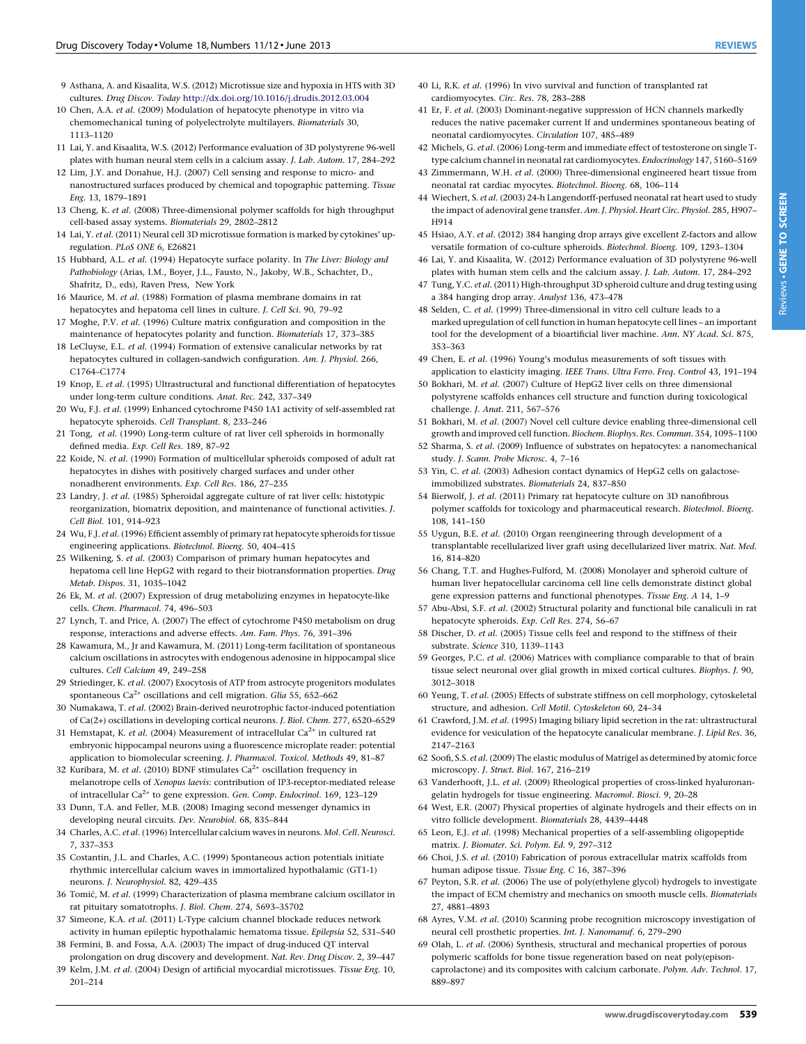- <span id="page-6-0"></span>9 Asthana, A. and Kisaalita, W.S. (2012) Microtissue size and hypoxia in HTS with 3D cultures. Drug Discov. Today <http://dx.doi.org/10.1016/j.drudis.2012.03.004>
- 10 Chen, A.A. et al. (2009) Modulation of hepatocyte phenotype in vitro via chemomechanical tuning of polyelectrolyte multilayers. Biomaterials 30, 1113–1120
- 11 Lai, Y. and Kisaalita, W.S. (2012) Performance evaluation of 3D polystyrene 96-well plates with human neural stem cells in a calcium assay. J. Lab. Autom. 17, 284–292
- 12 Lim, J.Y. and Donahue, H.J. (2007) Cell sensing and response to micro- and nanostructured surfaces produced by chemical and topographic patterning. Tissue Eng. 13, 1879–1891
- 13 Cheng, K. et al. (2008) Three-dimensional polymer scaffolds for high throughput cell-based assay systems. Biomaterials 29, 2802–2812
- 14 Lai, Y. et al. (2011) Neural cell 3D microtissue formation is marked by cytokines' upregulation. PLoS ONE 6, E26821
- 15 Hubbard, A.L. et al. (1994) Hepatocyte surface polarity. In The Liver: Biology and Pathobiology (Arias, I.M., Boyer, J.L., Fausto, N., Jakoby, W.B., Schachter, D., Shafritz, D., eds), Raven Press, New York
- 16 Maurice, M. et al. (1988) Formation of plasma membrane domains in rat hepatocytes and hepatoma cell lines in culture. J. Cell Sci. 90, 79–92
- 17 Moghe, P.V. et al. (1996) Culture matrix configuration and composition in the maintenance of hepatocytes polarity and function. Biomaterials 17, 373–385
- 18 LeCluyse, E.L. et al. (1994) Formation of extensive canalicular networks by rat hepatocytes cultured in collagen-sandwich configuration. Am. J. Physiol. 266, C1764–C1774
- 19 Knop, E. et al. (1995) Ultrastructural and functional differentiation of hepatocytes under long-term culture conditions. Anat. Rec. 242, 337–349
- 20 Wu, F.J. et al. (1999) Enhanced cytochrome P450 1A1 activity of self-assembled rat hepatocyte spheroids. Cell Transplant. 8, 233–246
- 21 Tong, et al. (1990) Long-term culture of rat liver cell spheroids in hormonally defined media. Exp. Cell Res. 189, 87–92
- 22 Koide, N. et al. (1990) Formation of multicellular spheroids composed of adult rat hepatocytes in dishes with positively charged surfaces and under other nonadherent environments. Exp. Cell Res. 186, 27–235
- 23 Landry, J. et al. (1985) Spheroidal aggregate culture of rat liver cells: histotypic reorganization, biomatrix deposition, and maintenance of functional activities. J. Cell Biol. 101, 914–923
- 24 Wu, F.J. et al. (1996) Efficient assembly of primary rat hepatocyte spheroids for tissue engineering applications. Biotechnol. Bioeng. 50, 404–415
- 25 Wilkening, S. et al. (2003) Comparison of primary human hepatocytes and hepatoma cell line HepG2 with regard to their biotransformation properties. Drug Metab. Dispos. 31, 1035–1042
- 26 Ek, M. et al. (2007) Expression of drug metabolizing enzymes in hepatocyte-like cells. Chem. Pharmacol. 74, 496–503
- 27 Lynch, T. and Price, A. (2007) The effect of cytochrome P450 metabolism on drug response, interactions and adverse effects. Am. Fam. Phys. 76, 391–396
- 28 Kawamura, M., Jr and Kawamura, M. (2011) Long-term facilitation of spontaneous calcium oscillations in astrocytes with endogenous adenosine in hippocampal slice cultures. Cell Calcium 49, 249–258
- 29 Striedinger, K. et al. (2007) Exocytosis of ATP from astrocyte progenitors modulates spontaneous  $Ca^{2+}$  oscillations and cell migration. Glia 55, 652-662
- 30 Numakawa, T. et al. (2002) Brain-derived neurotrophic factor-induced potentiation of Ca(2+) oscillations in developing cortical neurons. J. Biol. Chem. 277, 6520–6529
- 31 Hemstapat, K. et al. (2004) Measurement of intracellular  $Ca^{2+}$  in cultured rat embryonic hippocampal neurons using a fluorescence microplate reader: potential application to biomolecular screening. J. Pharmacol. Toxicol. Methods 49, 81–87
- 32 Kuribara, M. et al. (2010) BDNF stimulates  $Ca^{2+}$  oscillation frequency in melanotrope cells of Xenopus laevis: contribution of IP3-receptor-mediated release of intracellular Ca<sup>2+</sup> to gene expression. Gen. Comp. Endocrinol. 169, 123-129
- 33 Dunn, T.A. and Feller, M.B. (2008) Imaging second messenger dynamics in developing neural circuits. Dev. Neurobiol. 68, 835–844
- 34 Charles, A.C. et al. (1996) Intercellular calcium waves in neurons. Mol. Cell. Neurosci. 7, 337–353
- 35 Costantin, J.L. and Charles, A.C. (1999) Spontaneous action potentials initiate rhythmic intercellular calcium waves in immortalized hypothalamic (GT1-1) neurons. J. Neurophysiol. 82, 429–435
- 36 Tomic´, M. et al. (1999) Characterization of plasma membrane calcium oscillator in rat pituitary somatotrophs. J. Biol. Chem. 274, 5693–35702
- 37 Simeone, K.A. et al. (2011) L-Type calcium channel blockade reduces network activity in human epileptic hypothalamic hematoma tissue. Epilepsia 52, 531–540
- 38 Fermini, B. and Fossa, A.A. (2003) The impact of drug-induced QT interval prolongation on drug discovery and development. Nat. Rev. Drug Discov. 2, 39–447
- 39 Kelm, J.M. et al. (2004) Design of artificial myocardial microtissues. Tissue Eng. 10, 201–214
- 40 Li, R.K. et al. (1996) In vivo survival and function of transplanted rat cardiomyocytes. Circ. Res. 78, 283–288
- 41 Er, F. et al. (2003) Dominant-negative suppression of HCN channels markedly reduces the native pacemaker current If and undermines spontaneous beating of neonatal cardiomyocytes. Circulation 107, 485–489
- 42 Michels, G. et al. (2006) Long-term and immediate effect of testosterone on single Ttype calcium channel in neonatal rat cardiomyocytes. Endocrinology 147, 5160-5169
- 43 Zimmermann, W.H. et al. (2000) Three-dimensional engineered heart tissue from neonatal rat cardiac myocytes. Biotechnol. Bioeng. 68, 106–114
- 44 Wiechert, S. et al. (2003) 24-h Langendorff-perfused neonatal rat heart used to study the impact of adenoviral gene transfer. Am. J. Physiol. Heart Circ. Physiol. 285, H907-H914
- 45 Hsiao, A.Y. et al. (2012) 384 hanging drop arrays give excellent Z-factors and allow versatile formation of co-culture spheroids. Biotechnol. Bioeng. 109, 1293–1304
- 46 Lai, Y. and Kisaalita, W. (2012) Performance evaluation of 3D polystyrene 96-well plates with human stem cells and the calcium assay. J. Lab. Autom. 17, 284–292
- 47 Tung, Y.C. et al. (2011) High-throughput 3D spheroid culture and drug testing using a 384 hanging drop array. Analyst 136, 473–478
- 48 Selden, C. et al. (1999) Three-dimensional in vitro cell culture leads to a marked upregulation of cell function in human hepatocyte cell lines – an important tool for the development of a bioartificial liver machine. Ann. NY Acad. Sci. 875, 353–363
- 49 Chen, E. et al. (1996) Young's modulus measurements of soft tissues with application to elasticity imaging. IEEE Trans. Ultra Ferro. Freq. Control 43, 191–194
- 50 Bokhari, M. et al. (2007) Culture of HepG2 liver cells on three dimensional polystyrene scaffolds enhances cell structure and function during toxicological challenge. J. Anat. 211, 567–576
- 51 Bokhari, M. et al. (2007) Novel cell culture device enabling three-dimensional cell growth and improved cell function. Biochem. Biophys. Res. Commun. 354, 1095–1100
- 52 Sharma, S. et al. (2009) Influence of substrates on hepatocytes: a nanomechanical study. J. Scann. Probe Microsc. 4, 7–16
- 53 Yin, C. et al. (2003) Adhesion contact dynamics of HepG2 cells on galactoseimmobilized substrates. Biomaterials 24, 837–850
- 54 Bierwolf, J. et al. (2011) Primary rat hepatocyte culture on 3D nanofibrous polymer scaffolds for toxicology and pharmaceutical research. Biotechnol. Bioeng. 108, 141–150
- 55 Uygun, B.E. et al. (2010) Organ reengineering through development of a transplantable recellularized liver graft using decellularized liver matrix. Nat. Med. 16, 814–820
- 56 Chang, T.T. and Hughes-Fulford, M. (2008) Monolayer and spheroid culture of human liver hepatocellular carcinoma cell line cells demonstrate distinct global gene expression patterns and functional phenotypes. Tissue Eng. A 14, 1–9
- 57 Abu-Absi, S.F. et al. (2002) Structural polarity and functional bile canaliculi in rat hepatocyte spheroids. Exp. Cell Res. 274, 56–67
- 58 Discher, D. et al. (2005) Tissue cells feel and respond to the stiffness of their substrate. Science 310, 1139–1143
- 59 Georges, P.C. et al. (2006) Matrices with compliance comparable to that of brain tissue select neuronal over glial growth in mixed cortical cultures. Biophys. J. 90, 3012–3018
- 60 Yeung, T. et al. (2005) Effects of substrate stiffness on cell morphology, cytoskeletal structure, and adhesion. Cell Motil. Cytoskeleton 60, 24–34
- 61 Crawford, J.M. et al. (1995) Imaging biliary lipid secretion in the rat: ultrastructural evidence for vesiculation of the hepatocyte canalicular membrane. J. Lipid Res. 36, 2147–2163
- 62 Soofi, S.S. et al. (2009) The elastic modulus of Matrigel as determined by atomic force microscopy. J. Struct. Biol. 167, 216–219
- 63 Vanderhooft, J.L. et al. (2009) Rheological properties of cross-linked hyaluronangelatin hydrogels for tissue engineering. Macromol. Biosci. 9, 20–28
- 64 West, E.R. (2007) Physical properties of alginate hydrogels and their effects on in vitro follicle development. Biomaterials 28, 4439–4448
- 65 Leon, E.J. et al. (1998) Mechanical properties of a self-assembling oligopeptide matrix. J. Biomater. Sci. Polym. Ed. 9, 297–312
- 66 Choi, J.S. et al. (2010) Fabrication of porous extracellular matrix scaffolds from human adipose tissue. Tissue Eng. C 16, 387–396
- 67 Peyton, S.R. et al. (2006) The use of poly(ethylene glycol) hydrogels to investigate the impact of ECM chemistry and mechanics on smooth muscle cells. Biomaterials 27, 4881–4893
- 68 Ayres, V.M. et al. (2010) Scanning probe recognition microscopy investigation of neural cell prosthetic properties. Int. J. Nanomanuf. 6, 279–290
- 69 Olah, L. et al. (2006) Synthesis, structural and mechanical properties of porous polymeric scaffolds for bone tissue regeneration based on neat poly(episoncaprolactone) and its composites with calcium carbonate. Polym. Adv. Technol. 17, 889–897